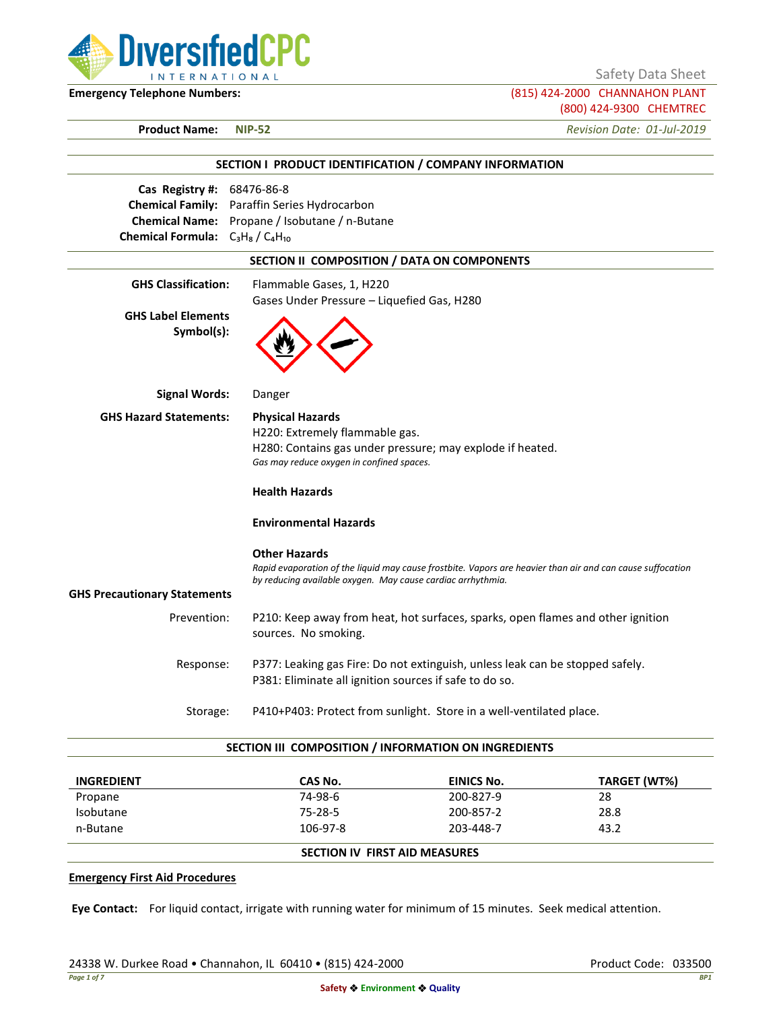

Safety Data Sheet

**Emergency Telephone Numbers:** (815) 424-2000 CHANNAHON PLANT (800) 424-9300 CHEMTREC

**Product Name: NIP-52** *Revision Date: 01-Jul-2019*

|                                                                       | SECTION I PRODUCT IDENTIFICATION / COMPANY INFORMATION                                                                                                                                            |
|-----------------------------------------------------------------------|---------------------------------------------------------------------------------------------------------------------------------------------------------------------------------------------------|
| Cas Registry #: 68476-86-8<br>Chemical Formula: $C_3H_8/C_4H_{10}$    | Chemical Family: Paraffin Series Hydrocarbon<br>Chemical Name: Propane / Isobutane / n-Butane                                                                                                     |
|                                                                       | SECTION II COMPOSITION / DATA ON COMPONENTS                                                                                                                                                       |
| <b>GHS Classification:</b><br><b>GHS Label Elements</b><br>Symbol(s): | Flammable Gases, 1, H220<br>Gases Under Pressure - Liquefied Gas, H280                                                                                                                            |
| <b>Signal Words:</b>                                                  | Danger                                                                                                                                                                                            |
| <b>GHS Hazard Statements:</b>                                         | <b>Physical Hazards</b><br>H220: Extremely flammable gas.<br>H280: Contains gas under pressure; may explode if heated.<br>Gas may reduce oxygen in confined spaces.<br><b>Health Hazards</b>      |
|                                                                       | <b>Environmental Hazards</b>                                                                                                                                                                      |
| <b>GHS Precautionary Statements</b>                                   | <b>Other Hazards</b><br>Rapid evaporation of the liquid may cause frostbite. Vapors are heavier than air and can cause suffocation<br>by reducing available oxygen. May cause cardiac arrhythmia. |
| Prevention:                                                           | P210: Keep away from heat, hot surfaces, sparks, open flames and other ignition<br>sources. No smoking.                                                                                           |
| Response:                                                             | P377: Leaking gas Fire: Do not extinguish, unless leak can be stopped safely.<br>P381: Eliminate all ignition sources if safe to do so.                                                           |
| Storage:                                                              | P410+P403: Protect from sunlight. Store in a well-ventilated place.                                                                                                                               |

### **SECTION III COMPOSITION / INFORMATION ON INGREDIENTS**

| <b>INGREDIENT</b> | CAS No.                              | EINICS No. | TARGET (WT%) |
|-------------------|--------------------------------------|------------|--------------|
| Propane           | 74-98-6                              | 200-827-9  | 28           |
| Isobutane         | 75-28-5                              | 200-857-2  | 28.8         |
| n-Butane          | 106-97-8                             | 203-448-7  | 43.2         |
|                   | <b>SECTION IV FIRST AID MEASURES</b> |            |              |

### **Emergency First Aid Procedures**

**Eye Contact:** For liquid contact, irrigate with running water for minimum of 15 minutes. Seek medical attention.

24338 W. Durkee Road • Channahon, IL 60410 • (815) 424-2000 Product Code: 033500 Product Code: 033500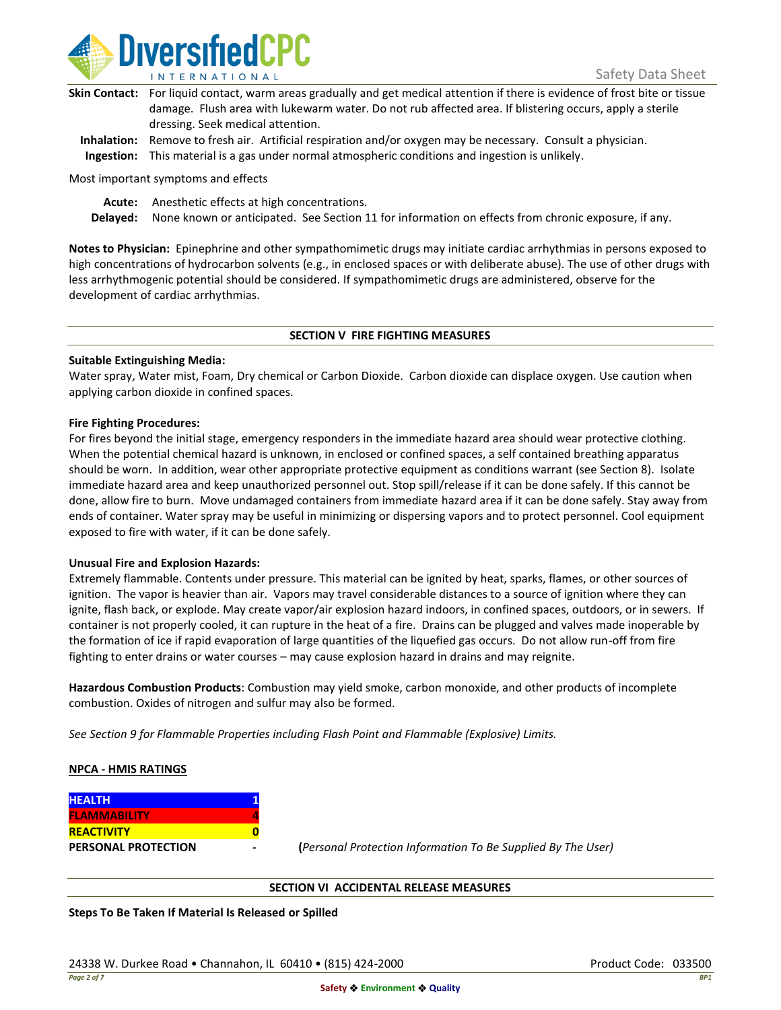

| Skin Contact: For liquid contact, warm areas gradually and get medical attention if there is evidence of frost bite or tissue |
|-------------------------------------------------------------------------------------------------------------------------------|
| damage. Flush area with lukewarm water. Do not rub affected area. If blistering occurs, apply a sterile                       |
| dressing. Seek medical attention.                                                                                             |
|                                                                                                                               |

**Inhalation:** Remove to fresh air. Artificial respiration and/or oxygen may be necessary. Consult a physician. **Ingestion:** This material is a gas under normal atmospheric conditions and ingestion is unlikely.

Most important symptoms and effects

**Acute:** Anesthetic effects at high concentrations.

**Delayed:** None known or anticipated. See Section 11 for information on effects from chronic exposure, if any.

**Notes to Physician:** Epinephrine and other sympathomimetic drugs may initiate cardiac arrhythmias in persons exposed to high concentrations of hydrocarbon solvents (e.g., in enclosed spaces or with deliberate abuse). The use of other drugs with less arrhythmogenic potential should be considered. If sympathomimetic drugs are administered, observe for the development of cardiac arrhythmias.

### **SECTION V FIRE FIGHTING MEASURES**

### **Suitable Extinguishing Media:**

Water spray, Water mist, Foam, Dry chemical or Carbon Dioxide. Carbon dioxide can displace oxygen. Use caution when applying carbon dioxide in confined spaces.

### **Fire Fighting Procedures:**

For fires beyond the initial stage, emergency responders in the immediate hazard area should wear protective clothing. When the potential chemical hazard is unknown, in enclosed or confined spaces, a self contained breathing apparatus should be worn. In addition, wear other appropriate protective equipment as conditions warrant (see Section 8). Isolate immediate hazard area and keep unauthorized personnel out. Stop spill/release if it can be done safely. If this cannot be done, allow fire to burn. Move undamaged containers from immediate hazard area if it can be done safely. Stay away from ends of container. Water spray may be useful in minimizing or dispersing vapors and to protect personnel. Cool equipment exposed to fire with water, if it can be done safely.

### **Unusual Fire and Explosion Hazards:**

Extremely flammable. Contents under pressure. This material can be ignited by heat, sparks, flames, or other sources of ignition. The vapor is heavier than air. Vapors may travel considerable distances to a source of ignition where they can ignite, flash back, or explode. May create vapor/air explosion hazard indoors, in confined spaces, outdoors, or in sewers. If container is not properly cooled, it can rupture in the heat of a fire. Drains can be plugged and valves made inoperable by the formation of ice if rapid evaporation of large quantities of the liquefied gas occurs. Do not allow run-off from fire fighting to enter drains or water courses – may cause explosion hazard in drains and may reignite.

**Hazardous Combustion Products**: Combustion may yield smoke, carbon monoxide, and other products of incomplete combustion. Oxides of nitrogen and sulfur may also be formed.

*See Section 9 for Flammable Properties including Flash Point and Flammable (Explosive) Limits.*

### **NPCA - HMIS RATINGS**

| <b>HEALTH</b>              |  |
|----------------------------|--|
| <b>FLAMMABILITY</b>        |  |
| <b>REACTIVITY</b>          |  |
| <b>PERSONAL PROTECTION</b> |  |

**PERSONAL PROTECTION - (***Personal Protection Information To Be Supplied By The User)*

### **SECTION VI ACCIDENTAL RELEASE MEASURES**

**Steps To Be Taken If Material Is Released or Spilled**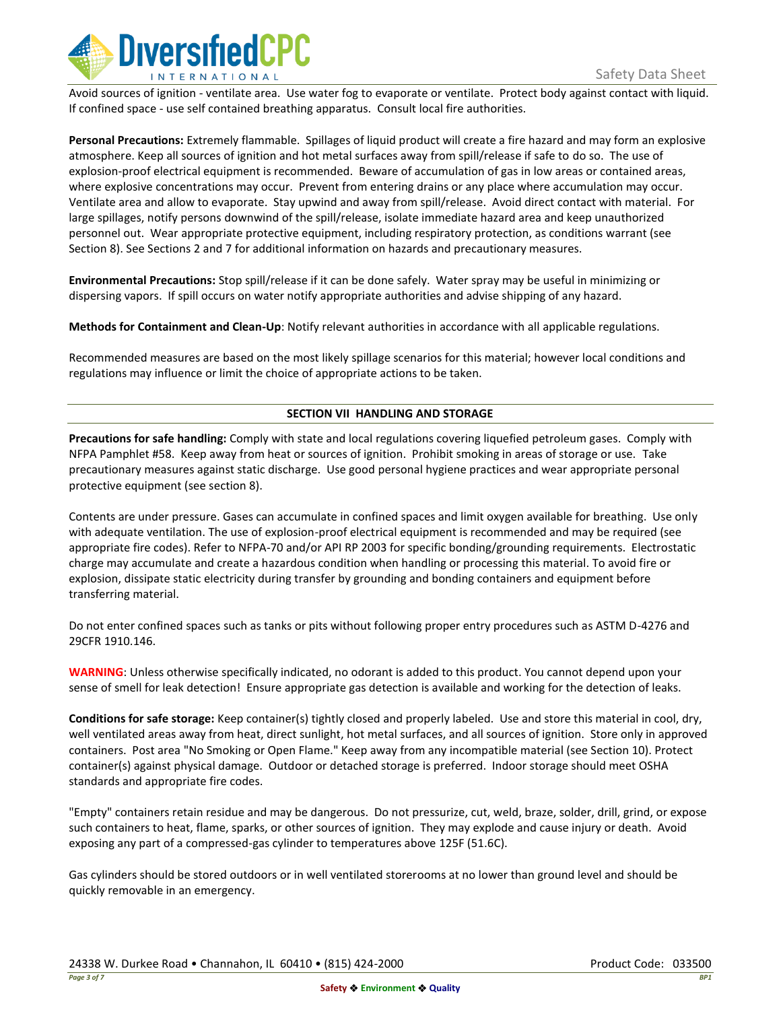

Avoid sources of ignition - ventilate area. Use water fog to evaporate or ventilate. Protect body against contact with liquid. If confined space - use self contained breathing apparatus. Consult local fire authorities.

**Personal Precautions:** Extremely flammable. Spillages of liquid product will create a fire hazard and may form an explosive atmosphere. Keep all sources of ignition and hot metal surfaces away from spill/release if safe to do so. The use of explosion-proof electrical equipment is recommended. Beware of accumulation of gas in low areas or contained areas, where explosive concentrations may occur. Prevent from entering drains or any place where accumulation may occur. Ventilate area and allow to evaporate. Stay upwind and away from spill/release. Avoid direct contact with material. For large spillages, notify persons downwind of the spill/release, isolate immediate hazard area and keep unauthorized personnel out. Wear appropriate protective equipment, including respiratory protection, as conditions warrant (see Section 8). See Sections 2 and 7 for additional information on hazards and precautionary measures.

**Environmental Precautions:** Stop spill/release if it can be done safely. Water spray may be useful in minimizing or dispersing vapors. If spill occurs on water notify appropriate authorities and advise shipping of any hazard.

**Methods for Containment and Clean-Up**: Notify relevant authorities in accordance with all applicable regulations.

Recommended measures are based on the most likely spillage scenarios for this material; however local conditions and regulations may influence or limit the choice of appropriate actions to be taken.

# **SECTION VII HANDLING AND STORAGE**

**Precautions for safe handling:** Comply with state and local regulations covering liquefied petroleum gases. Comply with NFPA Pamphlet #58. Keep away from heat or sources of ignition. Prohibit smoking in areas of storage or use. Take precautionary measures against static discharge. Use good personal hygiene practices and wear appropriate personal protective equipment (see section 8).

Contents are under pressure. Gases can accumulate in confined spaces and limit oxygen available for breathing. Use only with adequate ventilation. The use of explosion-proof electrical equipment is recommended and may be required (see appropriate fire codes). Refer to NFPA-70 and/or API RP 2003 for specific bonding/grounding requirements. Electrostatic charge may accumulate and create a hazardous condition when handling or processing this material. To avoid fire or explosion, dissipate static electricity during transfer by grounding and bonding containers and equipment before transferring material.

Do not enter confined spaces such as tanks or pits without following proper entry procedures such as ASTM D-4276 and 29CFR 1910.146.

**WARNING**: Unless otherwise specifically indicated, no odorant is added to this product. You cannot depend upon your sense of smell for leak detection! Ensure appropriate gas detection is available and working for the detection of leaks.

**Conditions for safe storage:** Keep container(s) tightly closed and properly labeled. Use and store this material in cool, dry, well ventilated areas away from heat, direct sunlight, hot metal surfaces, and all sources of ignition. Store only in approved containers. Post area "No Smoking or Open Flame." Keep away from any incompatible material (see Section 10). Protect container(s) against physical damage. Outdoor or detached storage is preferred. Indoor storage should meet OSHA standards and appropriate fire codes.

"Empty" containers retain residue and may be dangerous. Do not pressurize, cut, weld, braze, solder, drill, grind, or expose such containers to heat, flame, sparks, or other sources of ignition. They may explode and cause injury or death. Avoid exposing any part of a compressed-gas cylinder to temperatures above 125F (51.6C).

Gas cylinders should be stored outdoors or in well ventilated storerooms at no lower than ground level and should be quickly removable in an emergency.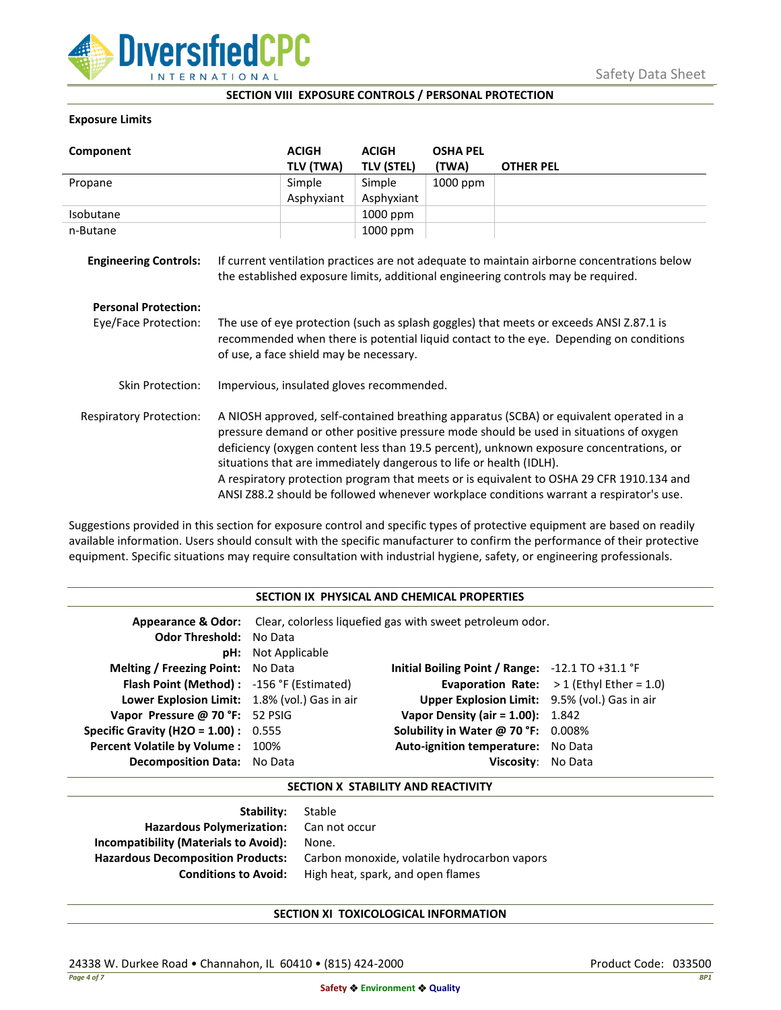

## **SECTION VIII EXPOSURE CONTROLS / PERSONAL PROTECTION**

## **Exposure Limits**

| Component                      |                                                                                                                                                                                                                                                                                                                                                                                                                                                                                                                                            | <b>ACIGH</b> | <b>ACIGH</b>      | <b>OSHA PEL</b> |                                                                                                                                                                                  |
|--------------------------------|--------------------------------------------------------------------------------------------------------------------------------------------------------------------------------------------------------------------------------------------------------------------------------------------------------------------------------------------------------------------------------------------------------------------------------------------------------------------------------------------------------------------------------------------|--------------|-------------------|-----------------|----------------------------------------------------------------------------------------------------------------------------------------------------------------------------------|
|                                |                                                                                                                                                                                                                                                                                                                                                                                                                                                                                                                                            | TLV (TWA)    | <b>TLV (STEL)</b> | (TWA)           | <b>OTHER PEL</b>                                                                                                                                                                 |
| Propane                        |                                                                                                                                                                                                                                                                                                                                                                                                                                                                                                                                            | Simple       | Simple            | 1000 ppm        |                                                                                                                                                                                  |
|                                |                                                                                                                                                                                                                                                                                                                                                                                                                                                                                                                                            | Asphyxiant   | Asphyxiant        |                 |                                                                                                                                                                                  |
| Isobutane                      |                                                                                                                                                                                                                                                                                                                                                                                                                                                                                                                                            |              | 1000 ppm          |                 |                                                                                                                                                                                  |
| n-Butane                       |                                                                                                                                                                                                                                                                                                                                                                                                                                                                                                                                            |              | 1000 ppm          |                 |                                                                                                                                                                                  |
| <b>Engineering Controls:</b>   |                                                                                                                                                                                                                                                                                                                                                                                                                                                                                                                                            |              |                   |                 | If current ventilation practices are not adequate to maintain airborne concentrations below<br>the established exposure limits, additional engineering controls may be required. |
| <b>Personal Protection:</b>    |                                                                                                                                                                                                                                                                                                                                                                                                                                                                                                                                            |              |                   |                 |                                                                                                                                                                                  |
| Eye/Face Protection:           | The use of eye protection (such as splash goggles) that meets or exceeds ANSI Z.87.1 is<br>recommended when there is potential liquid contact to the eye. Depending on conditions<br>of use, a face shield may be necessary.                                                                                                                                                                                                                                                                                                               |              |                   |                 |                                                                                                                                                                                  |
| <b>Skin Protection:</b>        | Impervious, insulated gloves recommended.                                                                                                                                                                                                                                                                                                                                                                                                                                                                                                  |              |                   |                 |                                                                                                                                                                                  |
| <b>Respiratory Protection:</b> | A NIOSH approved, self-contained breathing apparatus (SCBA) or equivalent operated in a<br>pressure demand or other positive pressure mode should be used in situations of oxygen<br>deficiency (oxygen content less than 19.5 percent), unknown exposure concentrations, or<br>situations that are immediately dangerous to life or health (IDLH).<br>A respiratory protection program that meets or is equivalent to OSHA 29 CFR 1910.134 and<br>ANSI Z88.2 should be followed whenever workplace conditions warrant a respirator's use. |              |                   |                 |                                                                                                                                                                                  |

Suggestions provided in this section for exposure control and specific types of protective equipment are based on readily available information. Users should consult with the specific manufacturer to confirm the performance of their protective equipment. Specific situations may require consultation with industrial hygiene, safety, or engineering professionals.

### **SECTION IX PHYSICAL AND CHEMICAL PROPERTIES**

| <b>Odor Threshold: No Data</b>                | <b>pH:</b> Not Applicable | <b>Appearance &amp; Odor:</b> Clear, colorless liquefied gas with sweet petroleum odor. |                                                   |
|-----------------------------------------------|---------------------------|-----------------------------------------------------------------------------------------|---------------------------------------------------|
| <b>Melting / Freezing Point:</b> No Data      |                           | Initial Boiling Point / Range: $-12.1$ TO $+31.1$ °F                                    |                                                   |
| Flash Point (Method): -156 °F (Estimated)     |                           |                                                                                         | <b>Evaporation Rate:</b> $>1$ (Ethyl Ether = 1.0) |
| Lower Explosion Limit: 1.8% (vol.) Gas in air |                           | Upper Explosion Limit: 9.5% (vol.) Gas in air                                           |                                                   |
| Vapor Pressure @ 70 °F: 52 PSIG               |                           | <b>Vapor Density (air = 1.00):</b> 1.842                                                |                                                   |
| <b>Specific Gravity (H2O = 1.00):</b> $0.555$ |                           | Solubility in Water @ 70 °F: 0.008%                                                     |                                                   |
| Percent Volatile by Volume: 100%              |                           | Auto-ignition temperature: No Data                                                      |                                                   |
| <b>Decomposition Data:</b> No Data            |                           | Viscosity: No Data                                                                      |                                                   |

## **SECTION X STABILITY AND REACTIVITY**

| Stable                                       |
|----------------------------------------------|
| Hazardous Polymerization: Can not occur      |
| None.                                        |
| Carbon monoxide, volatile hydrocarbon vapors |
| High heat, spark, and open flames            |
|                                              |

# **SECTION XI TOXICOLOGICAL INFORMATION**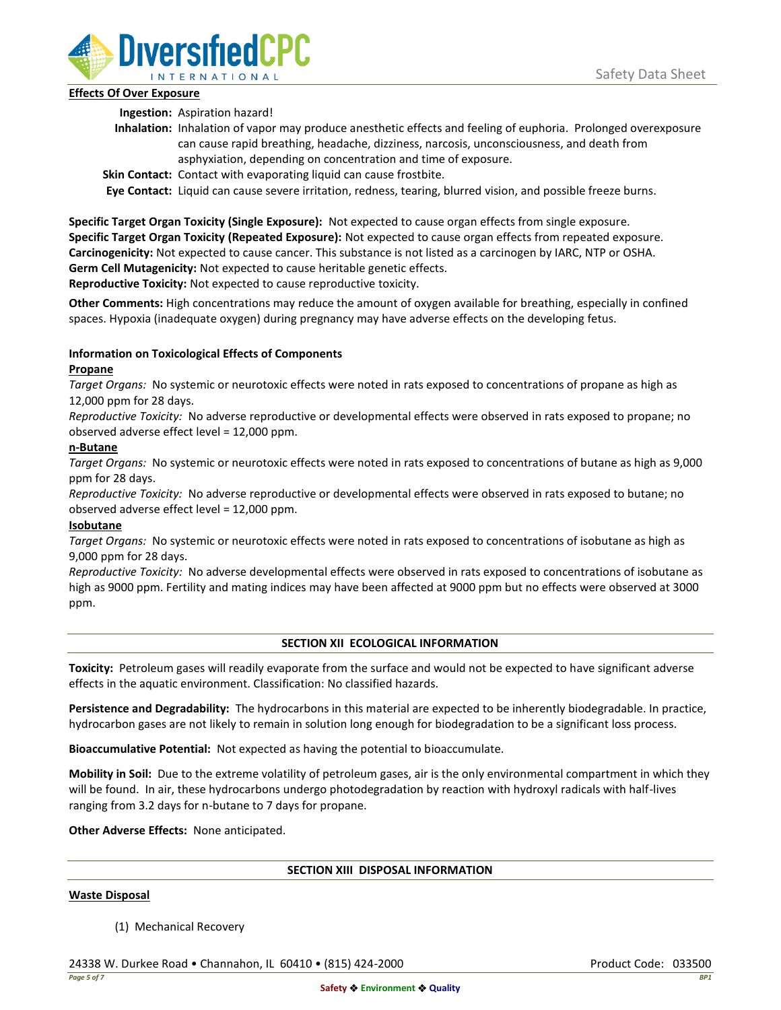

# **Effects Of Over Exposure**

**Ingestion:** Aspiration hazard!

- **Inhalation:** Inhalation of vapor may produce anesthetic effects and feeling of euphoria. Prolonged overexposure can cause rapid breathing, headache, dizziness, narcosis, unconsciousness, and death from asphyxiation, depending on concentration and time of exposure.
- **Skin Contact:** Contact with evaporating liquid can cause frostbite.

**Eye Contact:** Liquid can cause severe irritation, redness, tearing, blurred vision, and possible freeze burns.

**Specific Target Organ Toxicity (Single Exposure):** Not expected to cause organ effects from single exposure. **Specific Target Organ Toxicity (Repeated Exposure):** Not expected to cause organ effects from repeated exposure. **Carcinogenicity:** Not expected to cause cancer. This substance is not listed as a carcinogen by IARC, NTP or OSHA. **Germ Cell Mutagenicity:** Not expected to cause heritable genetic effects.

**Reproductive Toxicity:** Not expected to cause reproductive toxicity.

**Other Comments:** High concentrations may reduce the amount of oxygen available for breathing, especially in confined spaces. Hypoxia (inadequate oxygen) during pregnancy may have adverse effects on the developing fetus.

# **Information on Toxicological Effects of Components**

# **Propane**

*Target Organs:* No systemic or neurotoxic effects were noted in rats exposed to concentrations of propane as high as 12,000 ppm for 28 days.

*Reproductive Toxicity:* No adverse reproductive or developmental effects were observed in rats exposed to propane; no observed adverse effect level = 12,000 ppm.

# **n-Butane**

*Target Organs:* No systemic or neurotoxic effects were noted in rats exposed to concentrations of butane as high as 9,000 ppm for 28 days.

*Reproductive Toxicity:* No adverse reproductive or developmental effects were observed in rats exposed to butane; no observed adverse effect level = 12,000 ppm.

# **Isobutane**

*Target Organs:* No systemic or neurotoxic effects were noted in rats exposed to concentrations of isobutane as high as 9,000 ppm for 28 days.

*Reproductive Toxicity:* No adverse developmental effects were observed in rats exposed to concentrations of isobutane as high as 9000 ppm. Fertility and mating indices may have been affected at 9000 ppm but no effects were observed at 3000 ppm.

# **SECTION XII ECOLOGICAL INFORMATION**

**Toxicity:** Petroleum gases will readily evaporate from the surface and would not be expected to have significant adverse effects in the aquatic environment. Classification: No classified hazards.

**Persistence and Degradability:** The hydrocarbons in this material are expected to be inherently biodegradable. In practice, hydrocarbon gases are not likely to remain in solution long enough for biodegradation to be a significant loss process.

**Bioaccumulative Potential:** Not expected as having the potential to bioaccumulate.

**Mobility in Soil:** Due to the extreme volatility of petroleum gases, air is the only environmental compartment in which they will be found. In air, these hydrocarbons undergo photodegradation by reaction with hydroxyl radicals with half-lives ranging from 3.2 days for n-butane to 7 days for propane.

**Other Adverse Effects:** None anticipated.

### **SECTION XIII DISPOSAL INFORMATION**

### **Waste Disposal**

(1) Mechanical Recovery

24338 W. Durkee Road • Channahon, IL 60410 • (815) 424-2000 Product Code: 033500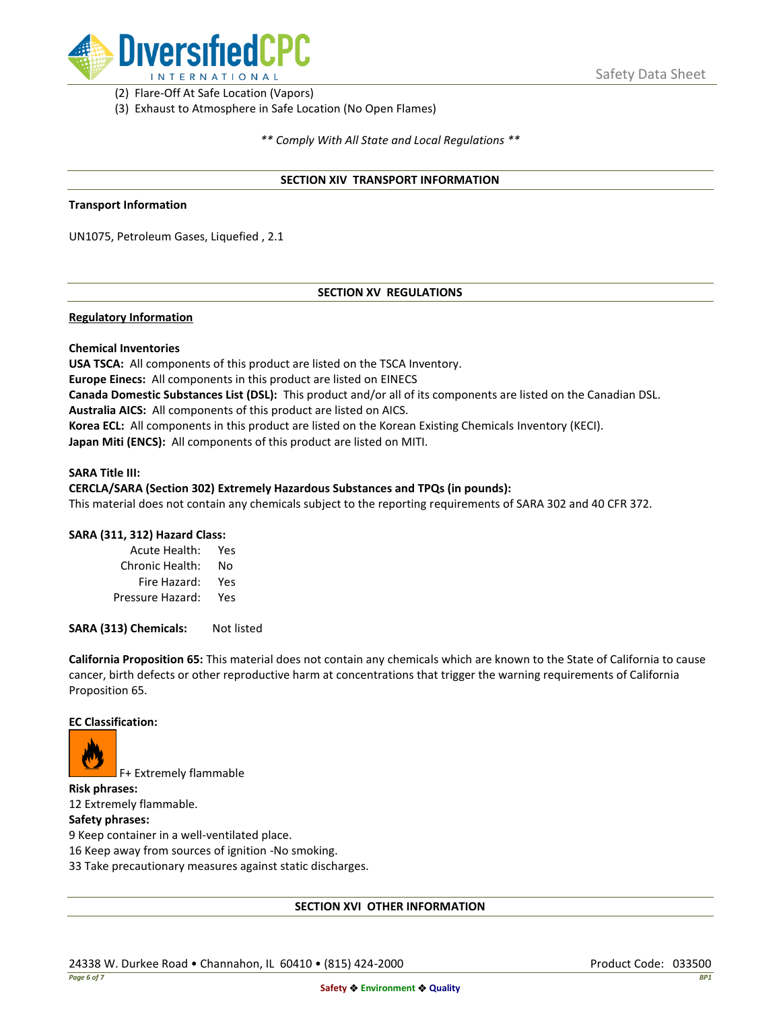

(2) Flare-Off At Safe Location (Vapors)

(3) Exhaust to Atmosphere in Safe Location (No Open Flames)

*\*\* Comply With All State and Local Regulations \*\**

### **SECTION XIV TRANSPORT INFORMATION**

#### **Transport Information**

UN1075, Petroleum Gases, Liquefied , 2.1

### **SECTION XV REGULATIONS**

### **Regulatory Information**

### **Chemical Inventories**

**USA TSCA:** All components of this product are listed on the TSCA Inventory. **Europe Einecs:** All components in this product are listed on EINECS **Canada Domestic Substances List (DSL):** This product and/or all of its components are listed on the Canadian DSL. **Australia AICS:** All components of this product are listed on AICS. **Korea ECL:** All components in this product are listed on the Korean Existing Chemicals Inventory (KECI). **Japan Miti (ENCS):** All components of this product are listed on MITI.

#### **SARA Title III:**

### **CERCLA/SARA (Section 302) Extremely Hazardous Substances and TPQs (in pounds):**

This material does not contain any chemicals subject to the reporting requirements of SARA 302 and 40 CFR 372.

### **SARA (311, 312) Hazard Class:**

| Acute Health:    | Yes |
|------------------|-----|
| Chronic Health:  | No  |
| Fire Hazard:     | Yes |
| Pressure Hazard: | Yes |

**SARA (313) Chemicals:** Not listed

**California Proposition 65:** This material does not contain any chemicals which are known to the State of California to cause cancer, birth defects or other reproductive harm at concentrations that trigger the warning requirements of California Proposition 65.

### **EC Classification:**



F+ Extremely flammable

**Risk phrases:** 12 Extremely flammable.

## **Safety phrases:**

9 Keep container in a well-ventilated place.

16 Keep away from sources of ignition -No smoking.

33 Take precautionary measures against static discharges.

### **SECTION XVI OTHER INFORMATION**